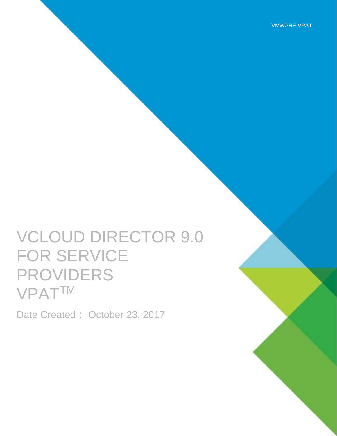VMWARE VPAT

# VCLOUD DIRECTOR 9.0 FOR SERVICE PROVIDERS VPATTM

Date Created: October 23, 2017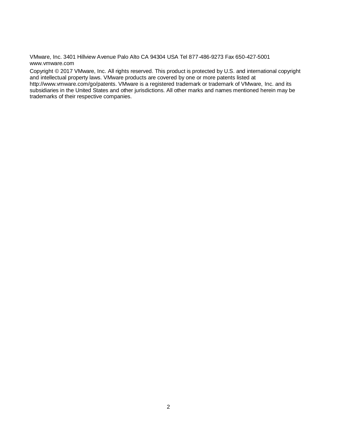VMware, Inc. 3401 Hillview Avenue Palo Alto CA 94304 USA Tel 877-486-9273 Fax 650-427-5001 www.vmware.com

Copyright © 2017 VMware, Inc. All rights reserved. This product is protected by U.S. and international copyright and intellectual property laws. VMware products are covered by one or more patents listed at http://www.vmware.com/go/patents. VMware is a registered trademark or trademark of VMware, Inc. and its subsidiaries in the United States and other jurisdictions. All other marks and names mentioned herein may be trademarks of their respective companies.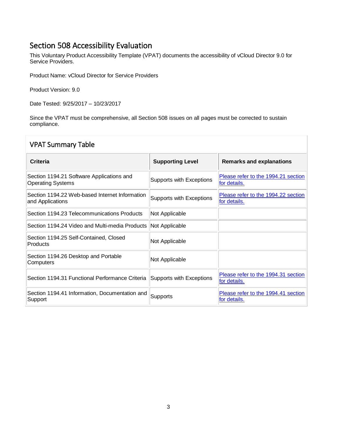#### Section 508 Accessibility Evaluation

This Voluntary Product Accessibility Template (VPAT) documents the accessibility of vCloud Director 9.0 for Service Providers.

Product Name: vCloud Director for Service Providers

Product Version: 9.0

Date Tested: 9/25/2017 – 10/23/2017

Since the VPAT must be comprehensive, all Section 508 issues on all pages must be corrected to sustain compliance.

| <b>VPAT Summary Table</b>                                             |                          |                                                     |
|-----------------------------------------------------------------------|--------------------------|-----------------------------------------------------|
| Criteria                                                              | <b>Supporting Level</b>  | <b>Remarks and explanations</b>                     |
| Section 1194.21 Software Applications and<br><b>Operating Systems</b> | Supports with Exceptions | Please refer to the 1994.21 section<br>for details. |
| Section 1194.22 Web-based Internet Information<br>and Applications    | Supports with Exceptions | Please refer to the 1994.22 section<br>for details. |
| Section 1194.23 Telecommunications Products                           | Not Applicable           |                                                     |
| Section 1194.24 Video and Multi-media Products                        | Not Applicable           |                                                     |
| Section 1194.25 Self-Contained, Closed<br>Products                    | Not Applicable           |                                                     |
| Section 1194.26 Desktop and Portable<br>Computers                     | Not Applicable           |                                                     |
| Section 1194.31 Functional Performance Criteria                       | Supports with Exceptions | Please refer to the 1994.31 section<br>for details. |
| Section 1194.41 Information, Documentation and<br>Support             | Supports                 | Please refer to the 1994.41 section<br>for details. |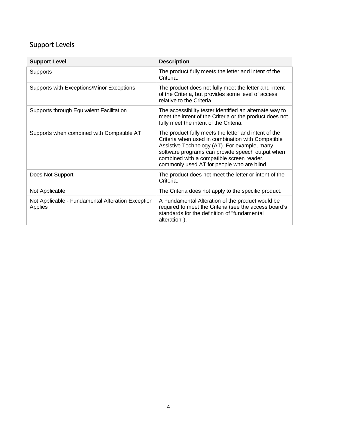### Support Levels

| <b>Support Level</b>                                         | <b>Description</b>                                                                                                                                                                                                                                                                                       |
|--------------------------------------------------------------|----------------------------------------------------------------------------------------------------------------------------------------------------------------------------------------------------------------------------------------------------------------------------------------------------------|
| Supports                                                     | The product fully meets the letter and intent of the<br>Criteria.                                                                                                                                                                                                                                        |
| Supports with Exceptions/Minor Exceptions                    | The product does not fully meet the letter and intent<br>of the Criteria, but provides some level of access<br>relative to the Criteria.                                                                                                                                                                 |
| Supports through Equivalent Facilitation                     | The accessibility tester identified an alternate way to<br>meet the intent of the Criteria or the product does not<br>fully meet the intent of the Criteria.                                                                                                                                             |
| Supports when combined with Compatible AT                    | The product fully meets the letter and intent of the<br>Criteria when used in combination with Compatible<br>Assistive Technology (AT). For example, many<br>software programs can provide speech output when<br>combined with a compatible screen reader,<br>commonly used AT for people who are blind. |
| Does Not Support                                             | The product does not meet the letter or intent of the<br>Criteria.                                                                                                                                                                                                                                       |
| Not Applicable                                               | The Criteria does not apply to the specific product.                                                                                                                                                                                                                                                     |
| Not Applicable - Fundamental Alteration Exception<br>Applies | A Fundamental Alteration of the product would be<br>required to meet the Criteria (see the access board's<br>standards for the definition of "fundamental<br>alteration").                                                                                                                               |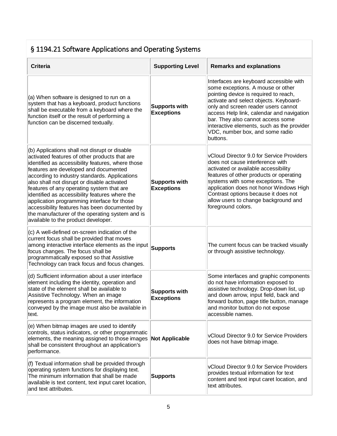<span id="page-4-0"></span>

| § 1194.21 Software Applications and Operating Systems                                                                                                                                                                                                                                                                                                                                                                                                                                                                                                                                 |                                           |                                                                                                                                                                                                                                                                                                                                                                                       |
|---------------------------------------------------------------------------------------------------------------------------------------------------------------------------------------------------------------------------------------------------------------------------------------------------------------------------------------------------------------------------------------------------------------------------------------------------------------------------------------------------------------------------------------------------------------------------------------|-------------------------------------------|---------------------------------------------------------------------------------------------------------------------------------------------------------------------------------------------------------------------------------------------------------------------------------------------------------------------------------------------------------------------------------------|
| <b>Criteria</b>                                                                                                                                                                                                                                                                                                                                                                                                                                                                                                                                                                       | <b>Supporting Level</b>                   | <b>Remarks and explanations</b>                                                                                                                                                                                                                                                                                                                                                       |
| (a) When software is designed to run on a<br>system that has a keyboard, product functions<br>shall be executable from a keyboard where the<br>function itself or the result of performing a<br>function can be discerned textually.                                                                                                                                                                                                                                                                                                                                                  | <b>Supports with</b><br><b>Exceptions</b> | Interfaces are keyboard accessible with<br>some exceptions. A mouse or other<br>pointing device is required to reach,<br>activate and select objects. Keyboard-<br>only and screen reader users cannot<br>access Help link, calendar and navigation<br>bar. They also cannot access some<br>interactive elements, such as the provider<br>VDC, number box, and some radio<br>buttons. |
| (b) Applications shall not disrupt or disable<br>activated features of other products that are<br>identified as accessibility features, where those<br>features are developed and documented<br>according to industry standards. Applications<br>also shall not disrupt or disable activated<br>features of any operating system that are<br>identified as accessibility features where the<br>application programming interface for those<br>accessibility features has been documented by<br>the manufacturer of the operating system and is<br>available to the product developer. | <b>Supports with</b><br><b>Exceptions</b> | <b>VCloud Director 9.0 for Service Providers</b><br>does not cause interference with<br>activated or available accessibility<br>features of other products or operating<br>systems with some exceptions. The<br>application does not honor Windows High<br>Contrast options because it does not<br>allow users to change background and<br>foreground colors.                         |
| $ $ (c) A well-defined on-screen indication of the<br>current focus shall be provided that moves<br>among interactive interface elements as the input<br>focus changes. The focus shall be<br>programmatically exposed so that Assistive<br>Technology can track focus and focus changes.                                                                                                                                                                                                                                                                                             | <b>Supports</b>                           | The current focus can be tracked visually<br>or through assistive technology.                                                                                                                                                                                                                                                                                                         |
| (d) Sufficient information about a user interface<br>element including the identity, operation and<br>state of the element shall be available to<br>Assistive Technology. When an image<br>represents a program element, the information<br>conveyed by the image must also be available in<br>text.                                                                                                                                                                                                                                                                                  | <b>Supports with</b><br><b>Exceptions</b> | Some interfaces and graphic components<br>do not have information exposed to<br>assistive technology. Drop-down list, up<br>and down arrow, input field, back and<br>forward button, page title button, manage<br>and monitor button do not expose<br>accessible names.                                                                                                               |
| (e) When bitmap images are used to identify<br>controls, status indicators, or other programmatic<br>elements, the meaning assigned to those images<br>shall be consistent throughout an application's<br>performance.                                                                                                                                                                                                                                                                                                                                                                | <b>Not Applicable</b>                     | vCloud Director 9.0 for Service Providers<br>does not have bitmap image.                                                                                                                                                                                                                                                                                                              |
| (f) Textual information shall be provided through<br>operating system functions for displaying text.<br>The minimum information that shall be made<br>available is text content, text input caret location,<br>and text attributes.                                                                                                                                                                                                                                                                                                                                                   | <b>Supports</b>                           | vCloud Director 9.0 for Service Providers<br>provides textual information for text<br>content and text input caret location, and<br>text attributes.                                                                                                                                                                                                                                  |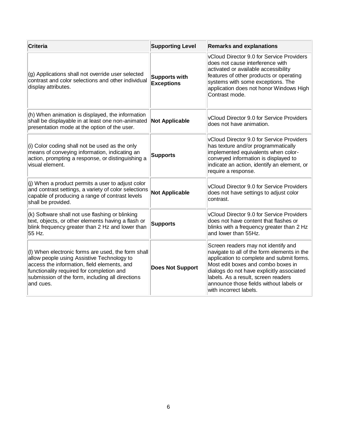<span id="page-5-0"></span>

| Criteria                                                                                                                                                                                                                                                      | <b>Supporting Level</b>                   | <b>Remarks and explanations</b>                                                                                                                                                                                                                                                                                                |
|---------------------------------------------------------------------------------------------------------------------------------------------------------------------------------------------------------------------------------------------------------------|-------------------------------------------|--------------------------------------------------------------------------------------------------------------------------------------------------------------------------------------------------------------------------------------------------------------------------------------------------------------------------------|
| (g) Applications shall not override user selected<br>contrast and color selections and other individual<br>display attributes.                                                                                                                                | <b>Supports with</b><br><b>Exceptions</b> | VCloud Director 9.0 for Service Providers<br>does not cause interference with<br>activated or available accessibility<br>features of other products or operating<br>systems with some exceptions. The<br>application does not honor Windows High<br>Contrast mode.                                                             |
| (h) When animation is displayed, the information<br>shall be displayable in at least one non-animated<br>presentation mode at the option of the user.                                                                                                         | <b>Not Applicable</b>                     | VCloud Director 9.0 for Service Providers<br>does not have animation.                                                                                                                                                                                                                                                          |
| (i) Color coding shall not be used as the only<br>means of conveying information, indicating an<br>action, prompting a response, or distinguishing a<br>visual element.                                                                                       | <b>Supports</b>                           | VCloud Director 9.0 for Service Providers<br>has texture and/or programmatically<br>implemented equivalents when color-<br>conveyed information is displayed to<br>indicate an action, identify an element, or<br>require a response.                                                                                          |
| (j) When a product permits a user to adjust color<br>and contrast settings, a variety of color selections<br>capable of producing a range of contrast levels<br>shall be provided.                                                                            | <b>Not Applicable</b>                     | VCloud Director 9.0 for Service Providers<br>does not have settings to adjust color<br>contrast.                                                                                                                                                                                                                               |
| (k) Software shall not use flashing or blinking<br>text, objects, or other elements having a flash or<br>blink frequency greater than 2 Hz and lower than<br>55 Hz.                                                                                           | <b>Supports</b>                           | VCloud Director 9.0 for Service Providers<br>does not have content that flashes or<br>blinks with a frequency greater than 2 Hz<br>and lower than 55Hz.                                                                                                                                                                        |
| (I) When electronic forms are used, the form shall<br>allow people using Assistive Technology to<br>access the information, field elements, and<br>functionality required for completion and<br>submission of the form, including all directions<br>and cues. | <b>Does Not Support</b>                   | Screen readers may not identify and<br>navigate to all of the form elements in the<br>application to complete and submit forms.<br>Most edit boxes and combo boxes in<br>dialogs do not have explicitly associated<br>labels. As a result, screen readers<br>announce those fields without labels or<br>with incorrect labels. |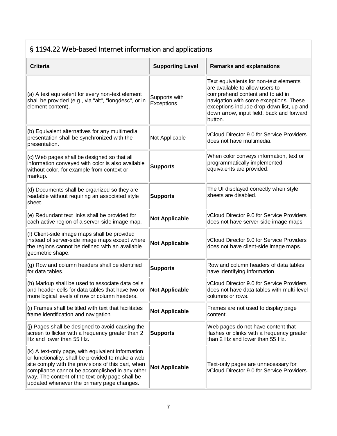## § 1194.22 Web-based Internet information and applications

| <b>Criteria</b>                                                                                                                                                                                                                                                                                                 | <b>Supporting Level</b>     | <b>Remarks and explanations</b>                                                                                                                                                                                                                              |
|-----------------------------------------------------------------------------------------------------------------------------------------------------------------------------------------------------------------------------------------------------------------------------------------------------------------|-----------------------------|--------------------------------------------------------------------------------------------------------------------------------------------------------------------------------------------------------------------------------------------------------------|
| (a) A text equivalent for every non-text element<br>shall be provided (e.g., via "alt", "longdesc", or in<br>element content).                                                                                                                                                                                  | Supports with<br>Exceptions | Text equivalents for non-text elements<br>are available to allow users to<br>comprehend content and to aid in<br>navigation with some exceptions. These<br>exceptions include drop-down list, up and<br>down arrow, input field, back and forward<br>button. |
| (b) Equivalent alternatives for any multimedia<br>presentation shall be synchronized with the<br>presentation.                                                                                                                                                                                                  | Not Applicable              | vCloud Director 9.0 for Service Providers<br>does not have multimedia.                                                                                                                                                                                       |
| (c) Web pages shall be designed so that all<br>information conveyed with color is also available<br>without color, for example from context or<br>markup.                                                                                                                                                       | <b>Supports</b>             | When color conveys information, text or<br>programmatically implemented<br>equivalents are provided.                                                                                                                                                         |
| (d) Documents shall be organized so they are<br>readable without requiring an associated style<br>sheet.                                                                                                                                                                                                        | <b>Supports</b>             | The UI displayed correctly when style<br>sheets are disabled.                                                                                                                                                                                                |
| (e) Redundant text links shall be provided for<br>each active region of a server-side image map.                                                                                                                                                                                                                | <b>Not Applicable</b>       | vCloud Director 9.0 for Service Providers<br>does not have server-side image maps.                                                                                                                                                                           |
| (f) Client-side image maps shall be provided<br>instead of server-side image maps except where<br>the regions cannot be defined with an available<br>geometric shape.                                                                                                                                           | <b>Not Applicable</b>       | vCloud Director 9.0 for Service Providers<br>does not have client-side image maps.                                                                                                                                                                           |
| (g) Row and column headers shall be identified<br>for data tables.                                                                                                                                                                                                                                              | <b>Supports</b>             | Row and column headers of data tables<br>have identifying information.                                                                                                                                                                                       |
| (h) Markup shall be used to associate data cells<br>and header cells for data tables that have two or<br>more logical levels of row or column headers.                                                                                                                                                          | <b>Not Applicable</b>       | vCloud Director 9.0 for Service Providers<br>does not have data tables with multi-level<br>columns or rows.                                                                                                                                                  |
| (i) Frames shall be titled with text that facilitates<br>frame identification and navigation                                                                                                                                                                                                                    | <b>Not Applicable</b>       | Frames are not used to display page<br>content.                                                                                                                                                                                                              |
| (j) Pages shall be designed to avoid causing the<br>screen to flicker with a frequency greater than 2<br>Hz and lower than 55 Hz.                                                                                                                                                                               | <b>Supports</b>             | Web pages do not have content that<br>flashes or blinks with a frequency greater<br>than 2 Hz and lower than 55 Hz.                                                                                                                                          |
| (k) A text-only page, with equivalent information<br>or functionality, shall be provided to make a web<br>site comply with the provisions of this part, when<br>compliance cannot be accomplished in any other<br>way. The content of the text-only page shall be<br>updated whenever the primary page changes. | <b>Not Applicable</b>       | Text-only pages are unnecessary for<br>vCloud Director 9.0 for Service Providers.                                                                                                                                                                            |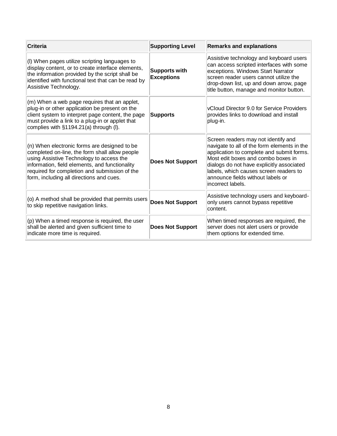<span id="page-7-0"></span>

| Criteria                                                                                                                                                                                                                                                                                  | <b>Supporting Level</b>                   | <b>Remarks and explanations</b>                                                                                                                                                                                                                                                                                         |
|-------------------------------------------------------------------------------------------------------------------------------------------------------------------------------------------------------------------------------------------------------------------------------------------|-------------------------------------------|-------------------------------------------------------------------------------------------------------------------------------------------------------------------------------------------------------------------------------------------------------------------------------------------------------------------------|
| (I) When pages utilize scripting languages to<br>display content, or to create interface elements,<br>the information provided by the script shall be<br>identified with functional text that can be read by<br>Assistive Technology.                                                     | <b>Supports with</b><br><b>Exceptions</b> | Assistive technology and keyboard users<br>can access scripted interfaces with some<br>exceptions. Windows Start Narrator<br>screen reader users cannot utilize the<br>drop-down list, up and down arrow, page<br>title button, manage and monitor button.                                                              |
| (m) When a web page requires that an applet,<br>plug-in or other application be present on the<br>client system to interpret page content, the page<br>must provide a link to a plug-in or applet that<br>complies with §1194.21(a) through (I).                                          | <b>Supports</b>                           | <b>vCloud Director 9.0 for Service Providers</b><br>provides links to download and install<br>plug-in.                                                                                                                                                                                                                  |
| (n) When electronic forms are designed to be<br>completed on-line, the form shall allow people<br>using Assistive Technology to access the<br>information, field elements, and functionality<br>required for completion and submission of the<br>form, including all directions and cues. | <b>Does Not Support</b>                   | Screen readers may not identify and<br>navigate to all of the form elements in the<br>application to complete and submit forms.<br>Most edit boxes and combo boxes in<br>dialogs do not have explicitly associated<br>labels, which causes screen readers to<br>announce fields without labels or<br>lincorrect labels. |
| (o) A method shall be provided that permits users<br>to skip repetitive navigation links.                                                                                                                                                                                                 | <b>Does Not Support</b>                   | Assistive technology users and keyboard-<br>only users cannot bypass repetitive<br>content.                                                                                                                                                                                                                             |
| (p) When a timed response is required, the user<br>shall be alerted and given sufficient time to<br>indicate more time is required.                                                                                                                                                       | <b>Does Not Support</b>                   | When timed responses are required, the<br>server does not alert users or provide<br>them options for extended time.                                                                                                                                                                                                     |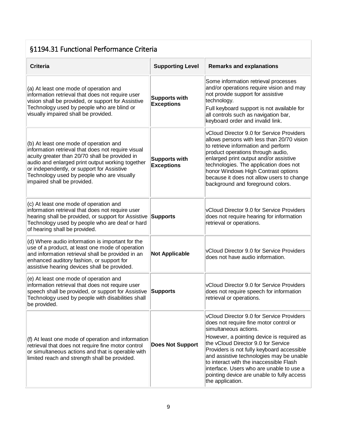#### §1194.31 Functional Performance Criteria

| <b>Criteria</b>                                                                                                                                                                                                                                                                                                               | <b>Supporting Level</b>                   | <b>Remarks and explanations</b>                                                                                                                                                                                                                                                                                                                                                                                                                     |
|-------------------------------------------------------------------------------------------------------------------------------------------------------------------------------------------------------------------------------------------------------------------------------------------------------------------------------|-------------------------------------------|-----------------------------------------------------------------------------------------------------------------------------------------------------------------------------------------------------------------------------------------------------------------------------------------------------------------------------------------------------------------------------------------------------------------------------------------------------|
| (a) At least one mode of operation and<br>information retrieval that does not require user<br>vision shall be provided, or support for Assistive<br>Technology used by people who are blind or<br>visually impaired shall be provided.                                                                                        | <b>Supports with</b><br><b>Exceptions</b> | Some information retrieval processes<br>and/or operations require vision and may<br>not provide support for assistive<br>technology.<br>Full keyboard support is not available for<br>all controls such as navigation bar,<br>keyboard order and invalid link.                                                                                                                                                                                      |
| (b) At least one mode of operation and<br>information retrieval that does not require visual<br>acuity greater than 20/70 shall be provided in<br>audio and enlarged print output working together<br>or independently, or support for Assistive<br>Technology used by people who are visually<br>impaired shall be provided. | <b>Supports with</b><br><b>Exceptions</b> | vCloud Director 9.0 for Service Providers<br>allows persons with less than 20/70 vision<br>to retrieve information and perform<br>product operations through audio,<br>enlarged print output and/or assistive<br>technologies. The application does not<br>honor Windows High Contrast options<br>because it does not allow users to change<br>background and foreground colors.                                                                    |
| (c) At least one mode of operation and<br>information retrieval that does not require user<br>hearing shall be provided, or support for Assistive<br>Technology used by people who are deaf or hard<br>of hearing shall be provided.                                                                                          | <b>Supports</b>                           | vCloud Director 9.0 for Service Providers<br>does not require hearing for information<br>retrieval or operations.                                                                                                                                                                                                                                                                                                                                   |
| (d) Where audio information is important for the<br>use of a product, at least one mode of operation<br>and information retrieval shall be provided in an<br>enhanced auditory fashion, or support for<br>assistive hearing devices shall be provided.                                                                        | <b>Not Applicable</b>                     | vCloud Director 9.0 for Service Providers<br>does not have audio information.                                                                                                                                                                                                                                                                                                                                                                       |
| (e) At least one mode of operation and<br>information retrieval that does not require user<br>speech shall be provided, or support for Assistive<br>Technology used by people with disabilities shall<br>be provided.                                                                                                         | <b>Supports</b>                           | vCloud Director 9.0 for Service Providers<br>does not require speech for information<br>retrieval or operations.                                                                                                                                                                                                                                                                                                                                    |
| $(f)$ At least one mode of operation and information<br>retrieval that does not require fine motor control<br>or simultaneous actions and that is operable with<br>limited reach and strength shall be provided.                                                                                                              | <b>Does Not Support</b>                   | vCloud Director 9.0 for Service Providers<br>does not require fine motor control or<br>simultaneous actions.<br>However, a pointing device is required as<br>the vCloud Director 9.0 for Service<br>Providers is not fully keyboard accessible<br>and assistive technologies may be unable<br>to interact with the inaccessible Flash<br>interface. Users who are unable to use a<br>pointing device are unable to fully access<br>the application. |